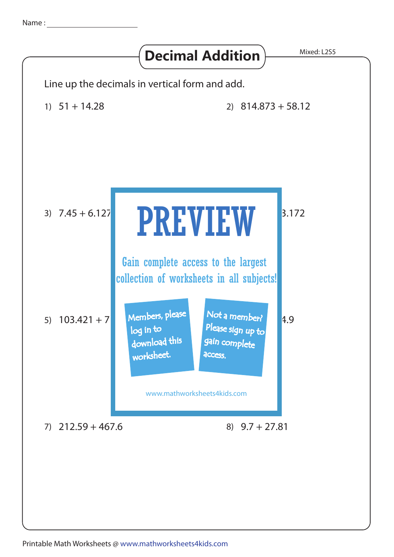